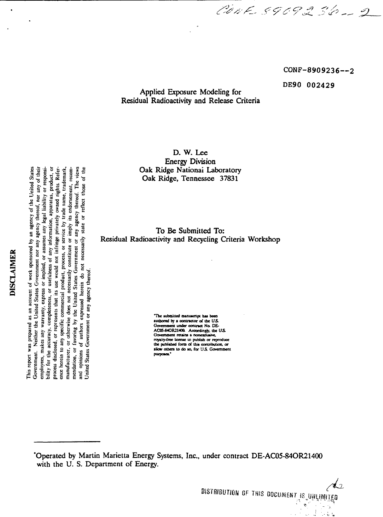1 interaction is a set of the set of the set of the set of the set of the set of the set of the set of the set of the set of the set of the set of the set of the set of the set of the set of the set of the set of the set **gsa . " \_ O. s** ្រុំ<br>ខូម ខូ ខូ ច § and opinions of authors expressed herein do not necessarily state or reflect those of **2 "" 'E \*> » «- S 1 MIN**<br> **1** spons<br> **1** spons<br> **1** mess of<br> **1** notes<br> **1** mess of This report as an acount of work sponsored by an agency of the United States responses and second to the space of the United States of the High states in the state of the High states of the High states of the High states o **Example 1**<br> **Example 1**<br> **The 1**<br> **S** of **u**<br> **S** of **u**<br> **S** of **u S ivJ° <sup>t</sup> -\*on g \*Uow** IS PEOT<br>
The Constant of the Constant of the Constant of the Constant of the Constant of the Constant of the Constant of the Constant of the Constant of the Constant of the Constant of the Constant of the Constant of the C **J3OC — O u ffl tt ^ C** ence herein to any specific commercial product, process, or service by trade name, trademark,

Applied Exposure Modeling for Residual Radioactivity and Release Criteria

> D. W. Lee Energy Division Oak Ridge, Tennessee 37831

 **| '£ .S .1 s s To ^ Submitted To:** Residual Radioactivity and Recycling Criteria Workshop

**= »utbored by a connaor of (be ITS**  $\frac{1}{2}$ <br>  $\frac{1}{2}$ <br>  $\frac{1}{2}$ <br>  $\frac{1}{2}$ <br>  $\frac{1}{2}$ <br>  $\frac{1}{2}$ <br>  $\frac{1}{2}$ <br>  $\frac{1}{2}$ <br>  $\frac{1}{2}$ <br>  $\frac{1}{2}$ <br>  $\frac{1}{2}$ <br>  $\frac{1}{2}$ <br>  $\frac{1}{2}$ <br>  $\frac{1}{2}$ <br>  $\frac{1}{2}$ <br>  $\frac{1}{2}$ <br>  $\frac{1}{2}$ <br>  $\frac{1}{2}$ <br>  $\frac{1}{2}$ <br>  $\frac{1}{2}$ <br> others to do so, for U.S. Government

'Operated by Martin Marietta Energy Systems, Inc., under contract DE-AC05-84OR21400 with the U. S. Department of Energy.

**CONF-8909236--2**

**DE90 002429**

CONF 8909236-2

L **BISTRIBUTION OF THIS DOCUMENT IS UNLIMITED** 

 $\frac{1}{2}$ Ļ,

 $\stackrel{\circ}{\Omega}$  .  $\stackrel{\circ}{\Omega}$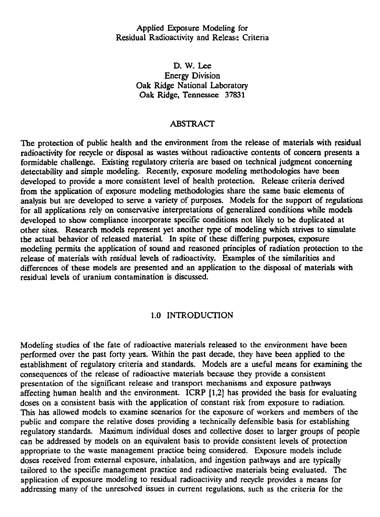Applied Exposure Modeling for Residual Radioactivity and Release Criteria

> D. W. Lee Energy Division Oak Ridge National Laboratory Oak Ridge, Tennessee 37831

#### ABSTRACT

The protection of public health and the environment from the release of materials with residual radioactivity for recycle or disposal as wastes without radioactive contents of concern presents a formidable challenge. Existing regulatory criteria are based on technical judgment concerning detectability and simple modeling. Recently, exposure modeling methodologies have been developed to provide a more consistent level of health protection. Release criteria derived from the application of exposure modeling methodologies share the same basic elements of analysis but are developed to serve a variety of purposes. Models for the support of regulations for all applications rely on conservative interpretations of generalized conditions while models developed to show compliance incorporate specific conditions not likely to be duplicated at other sites. Research models represent yet another type of modeling which strives to simulate the actual behavior of released material. In spite of these differing purposes, exposure modeling permits the application of sound and reasoned principles of radiation protection to the release of materials with residual levels of radioactivity. Examples of the similarities and differences of these models are presented and an application to the disposal of materials with residual levels of uranium contamination is discussed.

## 1.0 INTRODUCTION

Modeling studies of the fate of radioactive materials released to the environment have been performed over the past forty years. Within the past decade, they have been applied to the establishment of regulatory criteria and standards. Models are a useful means for examining the consequences of the release of radioactive materials because they provide a consistent presentation of the significant release and transport mechanisms and exposure pathways affecting human health and the environment. ICRP [1,2] has provided the basis for evaluating doses on a consistent basis with the application of constant risk from exposure to radiation. This has allowed models to examine scenarios for the exposure of workers and members of the public and compare the relative doses providing a technically defensible basis for establishing regulatory standards. Maximum individual doses and collective doses to larger groups of people can be addressed by models on an equivalent basis to provide consistent levels of protection appropriate to the waste management practice being considered. Exposure models include doses received from external exposure, inhalation, and ingestion pathways and are typically tailored to the specific management practice and radioactive materials being evaluated. The application of exposure modeling to residual radioactivity and recycle provides a means for addressing many of the unresolved issues in current regulations, such as the criteria for the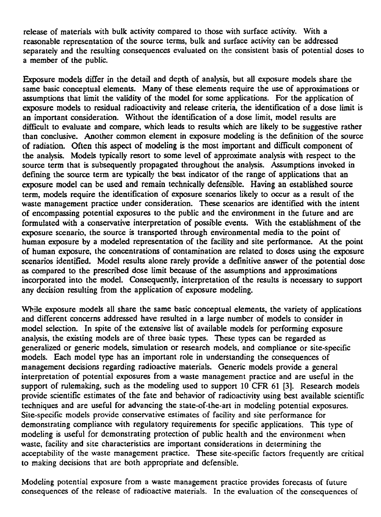release of materials with bulk activity compared to those with surface activity. With a reasonable representation of the source terms, bulk and surface activity can be addressed separately and the resulting consequences evaluated on the consistent basis of potential doses to a member of the public.

Exposure models differ in the detail and depth of analysis, but all exposure models share the same basic conceptual elements. Many of these elements require the use of approximations or assumptions that limit the validity of the model for some applications. For the application of exposure models to residual radioactivity and release criteria, the identification of a dose limit is an important consideration. Without the identification of a dose limit, model results are difficult to evaluate and compare, which leads to results which are likely to be suggestive rather than conclusive. Another common element in exposure modeling is the definition of the source of radiation. Often this aspect of modeling is the most important and difficult component of the analysis. Models typically resort to some level of approximate analysis with respect to the source term that is subsequently propagated throughout the analysis. Assumptions invoked in defining the source term are typically the best indicator of the range of applications that an exposure model can be used and remain technically defensible. Having an established source term, models require the identification of exposure scenarios likely to occur as a result of the waste management practice under consideration. These scenarios are identified with the intent of encompassing potential exposures to the public and the environment in the future and are formulated with a conservative interpretation of possible events. With the establishment of the exposure scenario, the source is transported through environmental media to the point of human exposure by a modeled representation of the facility and site performance. At the point of human exposure, the concentrations of contamination are related to doses using the exposure scenarios identified. Model results alone rarely provide a definitive answer of the potential dose as compared to the prescribed dose limit because of the assumptions and approximations incorporated into the model. Consequently, interpretation of the results is necessary to support any decision resulting from the application of exposure modeling.

While exposure models all share the same basic conceptual elements, the variety of applications and different concerns addressed have resulted in a large number of models to consider in model selection. In spite of the extensive list of available models for performing exposure analysis, the existing models are of three basic types. These types can be regarded as generalized or generic models, simulation or research models, and compliance or site-specific models. Each model type has an important role in understanding the consequences of management decisions regarding radioactive materials. Generic models provide a general interpretation of potential exposures from a waste management practice and are useful in the support of rulemaking, such as the modeling used to support 10 CFR 61 [3]. Research models provide scientific estimates of the fate and behavior of radioactivity using best available scientific techniques and are useful for advancing the state-of-the-art in modeling potential exposures. Site-specific models provide conservative estimates of facility and site performance for demonstrating compliance with regulatory requirements for specific applications. This type of modeling is useful for demonstrating protection of public health and the environment when waste, facility and site characteristics are important considerations in determining the acceptability of the waste management practice. These site-specific factors frequently are critical to making decisions that are both appropriate and defensible.

Modeling potential exposure from a waste management practice provides forecasts of future consequences of the release of radioactive materials. In the evaluation of the consequences of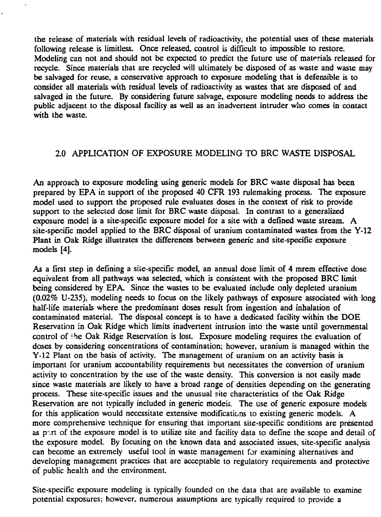the release of materials with residual levels of radioactivity, the potential uses of these materials following release is limitless. Once released, control is difficult to impossible to restore. Modeling can not and should not be expected to predict the future use of materials released for recycle. Since materials that are recycled will ultimately be disposed of as waste and waste may be salvaged for reuse, a conservative approach to exposure modeling that is defensible is to consider all materials with residual levels of radioactivity as wastes that are disposed of and salvaged in the future. By considering future salvage, exposure modeling needs to address the public adjacent to the disposal facility as well as an inadvertent intruder who comes in contact with the waste.

# 2.0 APPLICATION OF EXPOSURE MODELING TO BRC WASTE DISPOSAL

An approach to exposure modeling using generic models for BRC waste disposal has been prepared by EPA in support of the proposed 40 CFR 193 rulemaking process. The exposure model used to support the proposed rule evaluates doses in the context of risk to provide support to the selected dose limit for BRC waste disposal. In contrast to a generalized exposure model is a site-specific exposure model for a site with a defined waste stream. A site-specific model applied to the BRC disposal of uranium contaminated wastes from the Y-12 Plant in Oak Ridge illustrates the differences between generic and site-specific exposure models [4].

As a first step in defining a site-specific model, an annual dose limit of 4 mrem effective dose equivalent from all pathways was selected, which is consistent with the proposed BRC limit being considered by EPA. Since the wastes to be evaluated include only depleted uranium (0.02% U-235), modeling needs to focus on the likely pathways of exposure associated with long half-life materials where the predominant doses result from ingestion and inhalation of contaminated material. The disposal concept is to have a dedicated facility within the DOE Reservation in Oak Ridge which limits inadvertent intrusion into the waste until governmental control of ?he Oak Ridge Reservation is lost. Exposure modeling requires the evaluation of doses by considering concentrations of contamination; however, uranium is managed within the Y-12 Plant on the basis of activity. The management of uranium on an activity basis is important for uranium accountability requirements but necessitates the conversion of uranium activity to concentration by the use of the waste density. This conversion is not easily made since waste materials are likely to have a broad range of densities depending on the generating process. These site-specific issues and the unusual site characteristics of the Oak Ridge Reservation are not typically included in generic models. The use of generic exposure models for this application would necessitate extensive modifications to existing generic models. A more comprehensive technique for ensuring that important site-specific conditions are presented as part of the exposure model is to utilize site and facility data to define the scope and detail of the exposure model. By focusing on the known data and associated issues, site-specific analysis can become an extremely useful tool in waste management for examining alternatives and developing management practices that are acceptable to regulatory requirements and protective of public health and the environment.

Site-specific exposure modeling is typically founded on the data that are available to examine potential exposures; however, numerous assumptions are typically required to provide a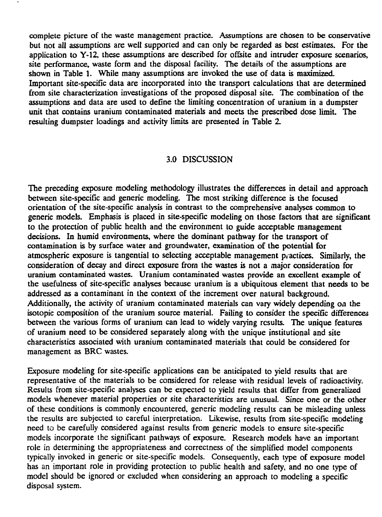complete picture of the waste management practice. Assumptions are chosen to be conservative but not all assumptions are well supported and can only be regarded as best estimates. For the application to Y-12, these assumptions are described for offsite and intruder exposure scenarios, site performance, waste form and the disposal facility. The details of the assumptions are shown in Table 1. While many assumptions are invoked the use of data is maximized. Important site-specific data are incorporated into the transport calculations that are determined from site characterization investigations of the proposed disposal site. The combination of the assumptions and data are used to define the limiting concentration of uranium in a dumpster unit that contains uranium contaminated materials and meets the prescribed dose limit. The resulting dumpster loadings and activity limits are presented in Table 2.

#### 3.0 DISCUSSION

The preceding exposure modeling methodology illustrates the differences in detail and approach between site-specific and generic modeling. The most striking difference is the focused orientation of the site-specific analysis in contrast to the comprehensive analyses common to generic models. Emphasis is placed in site-specific modeling on those factors that are significant to the protection of public health and the environment to guide acceptable management decisions. In humid environments, where the dominant pathway for the transport of contamination is by surface water and groundwater, examination of the potential for atmospheric exposure is tangential to selecting acceptable management practices. Similarly, the consideration of decay and direct exposure from the wastes is not a major consideration for uranium contaminated wastes. Uranium contaminated wastes provide an excellent example of the usefulness of site-specific analyses because uranium is a ubiquitous element that needs to be addressed as a contaminant in the context of the increment over natural background. Additionally, the activity of uranium contaminated materials can vary widely depending on the isotopic composition of the uranium source material. Failing to consider the specific differences between the various forms of uranium can lead to widely varying results. The unique features of uranium need to be considered separately along with the unique institutional and site characteristics associated with uranium contaminated materials that could be considered for management as BRC wastes.

Exposure modeling for site-specific applications can be anticipated to yield results that are representative of the materials to be considered for release with residual levels of radioactivity. Results from site-specific analyses can be expected to yield results that differ from generalized models whenever material properties or site characteristics are unusual. Since one or the other of these conditions is commonly encountered, generic modeling results can be misleading unless the results are subjected to careful interpretation. Likewise, results from site-specific modeling need to be carefully considered against results from generic models to ensure site-specific models incorporate the significant pathways of exposure. Research models have an important role in determining the appropriateness and correctness of the simplified model components typically invoked in generic or site-specific models. Consequently, each type of exposure model has an important role in providing protection to public health and safety, and no one type of model should be ignored or excluded when considering an approach to modeling a specific disposal system.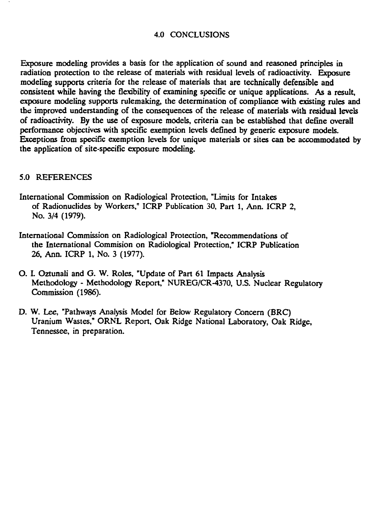## 4.0 CONCLUSIONS

Exposure modeling provides a basis for the application of sound and reasoned principles in radiation protection to the release of materials with residual levels of radioactivity. Exposure modeling supports criteria for the release of materials that are technically defensible and consistent while having the flexibility of examining specific or unique applications. As a result, exposure modeling supports rulemaking, the determination of compliance with existing rules and the improved understanding of the consequences of the release of materials with residual levels of radioactivity. By the use of exposure models, criteria can be established that define overall performance objectives with specific exemption levels defined by generic exposure models. Exceptions from specific exemption levels for unique materials or sites can be accommodated by the application of site-specific exposure modeling.

#### 5.0 REFERENCES

- International Commission on Radiological Protection, "Limits for Intakes of Radionuclides by Workers," ICRP Publication 30, Part 1, Ann. ICRP 2, No. 3/4 (1979).
- International Commission on Radiological Protection, "Recommendations of the International Commision on Radiological Protection," ICRP Publication 26, Ann. ICRP 1, No. 3 (1977).
- O. L Oztunali and G. W. Roles, "Update of Part 61 Impacts Analysis Methodology - Methodology Report," NUREG/CR-4370, U.S. Nuclear Regulatory Commission (1986).
- D. W. Lee, "Pathways Analysis Model for Below Regulatory Concern (BRC) Uranium Wastes," ORNL Report, Oak Ridge National Laboratory, Oak Ridge, Tennessee, in preparation.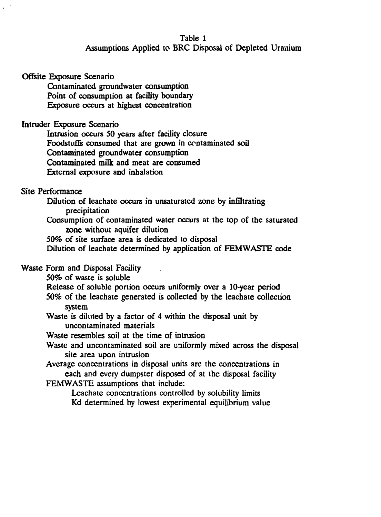## Table 1 Assumptions Applied to BRC Disposal of Depleted Uranium

#### Ofisite Exposure Scenario

Contaminated groundwater consumption Point of consumption at facility boundary Exposure occurs at highest concentration

## Intruder Exposure Scenario

Intrusion occurs 50 years after facility closure Foodstuffs consumed that are grown in contaminated soil Contaminated groundwater consumption Contaminated milk and meat are consumed External exposure and inhalation

## Site Performance

Dilution of leachate occurs in unsaturated zone by infiltrating precipitation

Consumption of contaminated water occurs at the top of the saturated zone without aquifer dilution

50% of site surface area is dedicated to disposal

Dilution of leachate determined by application of FEMWASTE code

Waste Form and Disposal Facility

50% of waste is soluble

Release of soluble portion occurs uniformly over a 10-year period

50% of the leachate generated is collected by the leachate collection system

Waste is diluted by a factor of 4 within the disposal unit by uncontaminated materials

Waste resembles soil at the time of intrusion

Waste and uncontaminated soil are uniformly mixed across the disposal site area upon intrusion

Average concentrations in disposal units are the concentrations in each and every dumpster disposed of at the disposal facility

FEMWASTE assumptions that include:

Leachate concentrations controlled by solubility limits Kd determined by lowest experimental equilibrium value